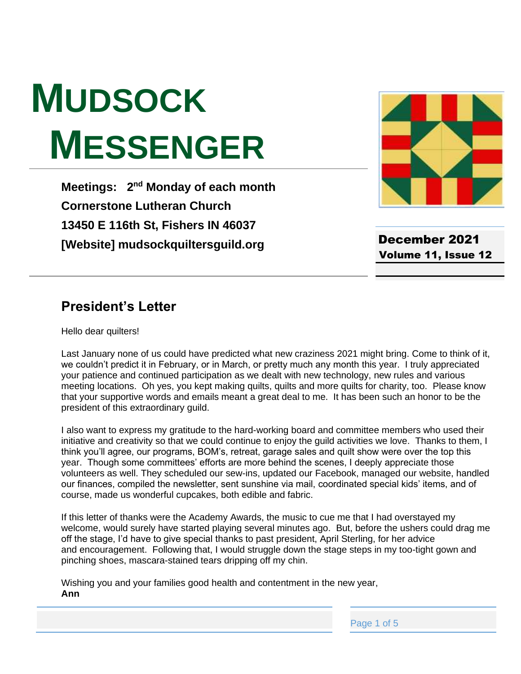# **MUDSOCK MESSENGER**

**Meetings: 2<sup>nd</sup> Monday of each month Cornerstone Lutheran Church 13450 E 116th St, Fishers IN 46037 [Website] mudsockquiltersguild.org**



December 2021 Volume 11, Issue 12

#### **President's Letter**

Hello dear quilters!

Last January none of us could have predicted what new craziness 2021 might bring. Come to think of it, we couldn't predict it in February, or in March, or pretty much any month this year. I truly appreciated your patience and continued participation as we dealt with new technology, new rules and various meeting locations. Oh yes, you kept making quilts, quilts and more quilts for charity, too. Please know that your supportive words and emails meant a great deal to me. It has been such an honor to be the president of this extraordinary guild.

I also want to express my gratitude to the hard-working board and committee members who used their initiative and creativity so that we could continue to enjoy the guild activities we love. Thanks to them, I think you'll agree, our programs, BOM's, retreat, garage sales and quilt show were over the top this year. Though some committees' efforts are more behind the scenes, I deeply appreciate those volunteers as well. They scheduled our sew-ins, updated our Facebook, managed our website, handled our finances, compiled the newsletter, sent sunshine via mail, coordinated special kids' items, and of course, made us wonderful cupcakes, both edible and fabric.

If this letter of thanks were the Academy Awards, the music to cue me that I had overstayed my welcome, would surely have started playing several minutes ago. But, before the ushers could drag me off the stage, I'd have to give special thanks to past president, April Sterling, for her advice and encouragement. Following that, I would struggle down the stage steps in my too-tight gown and pinching shoes, mascara-stained tears dripping off my chin.

Wishing you and your families good health and contentment in the new year, **Ann**

Page 1 of 5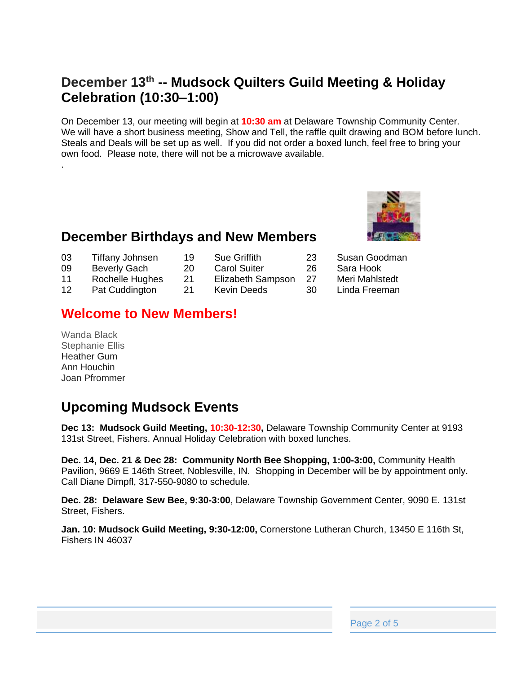## **December 13th -- Mudsock Quilters Guild Meeting & Holiday Celebration (10:30–1:00)**

On December 13, our meeting will begin at **10:30 am** at Delaware Township Community Center. We will have a short business meeting, Show and Tell, the raffle quilt drawing and BOM before lunch. Steals and Deals will be set up as well. If you did not order a boxed lunch, feel free to bring your own food. Please note, there will not be a microwave available.

#### **December Birthdays and New Members**

- 03 Tiffany Johnsen 19 Sue Griffith 23 Susan Goodman
- 09 Beverly Gach 20 Carol Suiter 26 Sara Hook
	-
- 11 Rochelle Hughes 21 Elizabeth Sampson 27 Meri Mahlstedt
- 12 Pat Cuddington 21 Kevin Deeds 30 Linda Freeman

#### **Welcome to New Members!**

Wanda Black Stephanie Ellis Heather Gum Ann Houchin Joan Pfrommer

.

## **Upcoming Mudsock Events**

**Dec 13: Mudsock Guild Meeting, 10:30-12:30,** Delaware Township Community Center at 9193 131st Street, Fishers. Annual Holiday Celebration with boxed lunches.

**Dec. 14, Dec. 21 & Dec 28: Community North Bee Shopping, 1:00-3:00,** Community Health Pavilion, 9669 E 146th Street, Noblesville, IN. Shopping in December will be by appointment only. Call Diane Dimpfl, 317-550-9080 to schedule.

**Dec. 28: Delaware Sew Bee, 9:30-3:00**, Delaware Township Government Center, 9090 E. 131st Street, Fishers.

**Jan. 10: Mudsock Guild Meeting, 9:30-12:00,** Cornerstone Lutheran Church, 13450 E 116th St, Fishers IN 46037



Page 2 of 5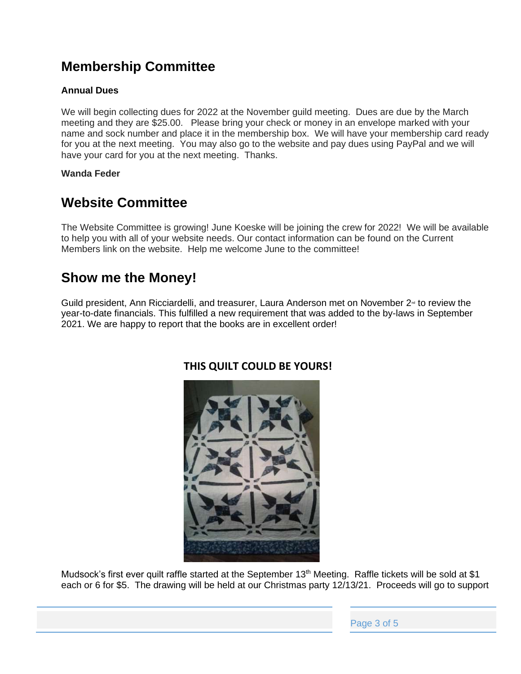## **Membership Committee**

#### **Annual Dues**

We will begin collecting dues for 2022 at the November guild meeting. Dues are due by the March meeting and they are \$25.00. Please bring your check or money in an envelope marked with your name and sock number and place it in the membership box. We will have your membership card ready for you at the next meeting. You may also go to the website and pay dues using PayPal and we will have your card for you at the next meeting. Thanks.

#### **Wanda Feder**

## **Website Committee**

The Website Committee is growing! June Koeske will be joining the crew for 2022! We will be available to help you with all of your website needs. Our contact information can be found on the Current Members link on the website. Help me welcome June to the committee!

## **Show me the Money!**

Guild president, Ann Ricciardelli, and treasurer, Laura Anderson met on November 2<sup>nd</sup> to review the year-to-date financials. This fulfilled a new requirement that was added to the by-laws in September 2021. We are happy to report that the books are in excellent order!



#### **THIS QUILT COULD BE YOURS!**

Mudsock's first ever quilt raffle started at the September 13<sup>th</sup> Meeting. Raffle tickets will be sold at \$1 each or 6 for \$5. The drawing will be held at our Christmas party 12/13/21. Proceeds will go to support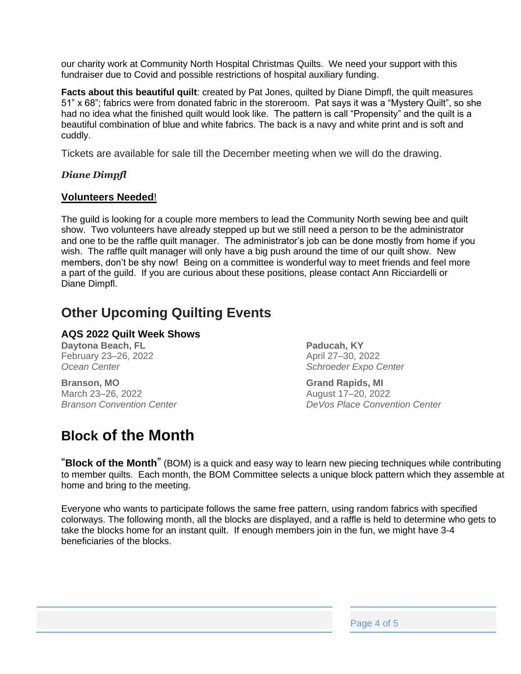our charity work at Community North Hospital Christmas Quilts. We need your support with this fundraiser due to Covid and possible restrictions of hospital auxiliary funding.

**Facts about this beautiful quilt**: created by Pat Jones, quilted by Diane Dimpfl, the quilt measures 51" x 68"; fabrics were from donated fabric in the storeroom. Pat says it was a "Mystery Quilt", so she had no idea what the finished quilt would look like. The pattern is call "Propensity" and the quilt is a beautiful combination of blue and white fabrics. The back is a navy and white print and is soft and cuddly.

Tickets are available for sale till the December meeting when we will do the drawing.

#### *Diane Dimpfl*

#### **Volunteers Needed**!

The guild is looking for a couple more members to lead the Community North sewing bee and quilt show. Two volunteers have already stepped up but we still need a person to be the administrator and one to be the raffle quilt manager. The administrator's job can be done mostly from home if you wish. The raffle quilt manager will only have a big push around the time of our quilt show. New members, don't be shy now! Being on a committee is wonderful way to meet friends and feel more a part of the guild. If you are curious about these positions, please contact Ann Ricciardelli or Diane Dimpfl.

#### **Other Upcoming Quilting Events**

#### **AQS 2022 Quilt Week Shows**

**Daytona Beach, FL** February 23–26, 2022 *Ocean Center*

**Branson, MO** March 23–26, 2022 *Branson Convention Center*

## **Block of the Month**

**Paducah, KY** April 27–30, 2022 *Schroeder Expo Center*

**Grand Rapids, MI** August 17–20, 2022 *DeVos Place Convention Center*

"**Block of the Month**" (BOM) is a quick and easy way to learn new piecing techniques while contributing to member quilts. Each month, the BOM Committee selects a unique block pattern which they assemble at home and bring to the meeting.

Everyone who wants to participate follows the same free pattern, using random fabrics with specified colorways. The following month, all the blocks are displayed, and a raffle is held to determine who gets to take the blocks home for an instant quilt. If enough members join in the fun, we might have 3-4 beneficiaries of the blocks.

Page 4 of 5